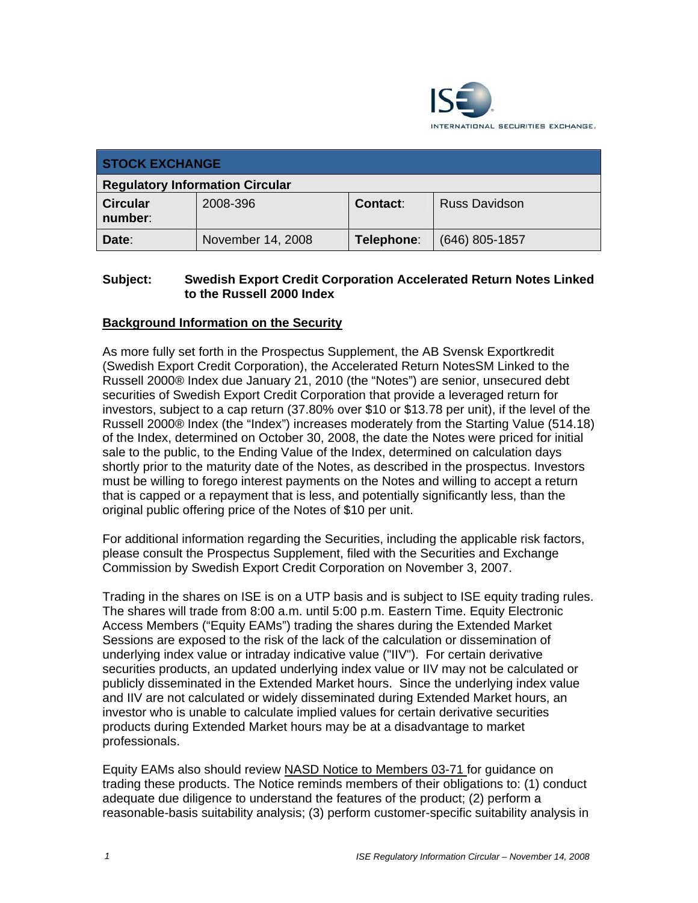

| <b>STOCK EXCHANGE</b>                  |                   |            |                      |
|----------------------------------------|-------------------|------------|----------------------|
| <b>Regulatory Information Circular</b> |                   |            |                      |
| <b>Circular</b><br>number:             | 2008-396          | Contact:   | <b>Russ Davidson</b> |
| Date:                                  | November 14, 2008 | Telephone: | $(646)$ 805-1857     |

## **Subject: Swedish Export Credit Corporation Accelerated Return Notes Linked to the Russell 2000 Index**

## **Background Information on the Security**

As more fully set forth in the Prospectus Supplement, the AB Svensk Exportkredit (Swedish Export Credit Corporation), the Accelerated Return NotesSM Linked to the Russell 2000® Index due January 21, 2010 (the "Notes") are senior, unsecured debt securities of Swedish Export Credit Corporation that provide a leveraged return for investors, subject to a cap return (37.80% over \$10 or \$13.78 per unit), if the level of the Russell 2000® Index (the "Index") increases moderately from the Starting Value (514.18) of the Index, determined on October 30, 2008, the date the Notes were priced for initial sale to the public, to the Ending Value of the Index, determined on calculation days shortly prior to the maturity date of the Notes, as described in the prospectus. Investors must be willing to forego interest payments on the Notes and willing to accept a return that is capped or a repayment that is less, and potentially significantly less, than the original public offering price of the Notes of \$10 per unit.

For additional information regarding the Securities, including the applicable risk factors, please consult the Prospectus Supplement, filed with the Securities and Exchange Commission by Swedish Export Credit Corporation on November 3, 2007.

Trading in the shares on ISE is on a UTP basis and is subject to ISE equity trading rules. The shares will trade from 8:00 a.m. until 5:00 p.m. Eastern Time. Equity Electronic Access Members ("Equity EAMs") trading the shares during the Extended Market Sessions are exposed to the risk of the lack of the calculation or dissemination of underlying index value or intraday indicative value ("IIV"). For certain derivative securities products, an updated underlying index value or IIV may not be calculated or publicly disseminated in the Extended Market hours. Since the underlying index value and IIV are not calculated or widely disseminated during Extended Market hours, an investor who is unable to calculate implied values for certain derivative securities products during Extended Market hours may be at a disadvantage to market professionals.

Equity EAMs also should review NASD Notice to Members 03-71 for guidance on trading these products. The Notice reminds members of their obligations to: (1) conduct adequate due diligence to understand the features of the product; (2) perform a reasonable-basis suitability analysis; (3) perform customer-specific suitability analysis in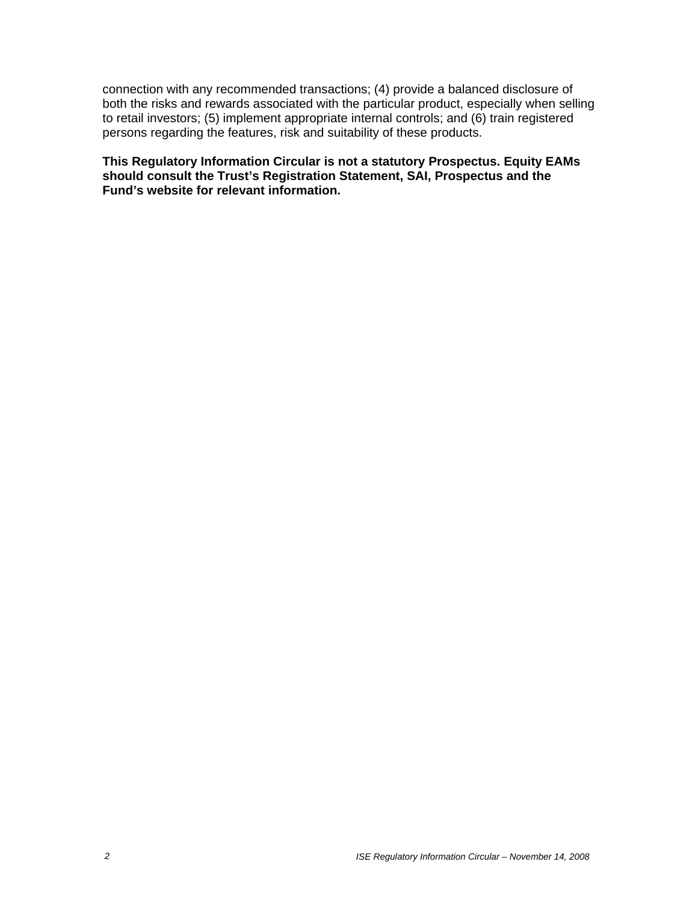connection with any recommended transactions; (4) provide a balanced disclosure of both the risks and rewards associated with the particular product, especially when selling to retail investors; (5) implement appropriate internal controls; and (6) train registered persons regarding the features, risk and suitability of these products.

**This Regulatory Information Circular is not a statutory Prospectus. Equity EAMs should consult the Trust's Registration Statement, SAI, Prospectus and the Fund's website for relevant information.**